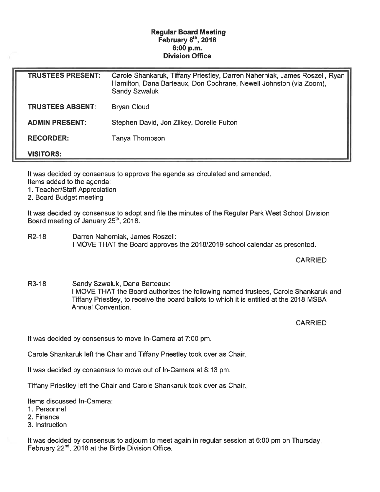## Regular Board Meeting February 8<sup>th</sup>, 2018 6:00 p.m. Division Office

| <b>TRUSTEES PRESENT:</b> | Carole Shankaruk, Tiffany Priestley, Darren Naherniak, James Roszell, Ryan  <br>Hamilton, Dana Barteaux, Don Cochrane, Newell Johnston (via Zoom),<br><b>Sandy Szwaluk</b> |
|--------------------------|----------------------------------------------------------------------------------------------------------------------------------------------------------------------------|
| <b>TRUSTEES ABSENT:</b>  | <b>Bryan Cloud</b>                                                                                                                                                         |
| <b>ADMIN PRESENT:</b>    | Stephen David, Jon Zilkey, Dorelle Fulton                                                                                                                                  |
| <b>RECORDER:</b>         | Tanya Thompson                                                                                                                                                             |
| <b>VISITORS:</b>         |                                                                                                                                                                            |

It was decided by consensus to approve the agenda as circulated and amended. Items added to the agenda:

1. Teacher/Staff Appreciation

2. Board Budget meeting

It was decided by consensus to adopt and file the minutes of the Regular Park West School Division Board meeting of January 25<sup>th</sup>, 2018.

R2-18 Darren Nahemiak, James Roszell: I MOVE THAT the Board approves the 2018/2019 school calendar as presented.

## **CARRIED**

R3-18 Sandy Szwaluk, Dana Barteaux: I MOVE THAT the Board authorizes the following named trustees, Carole Shankaruk and Tiffany Priestley, to receive the board ballots to which it is entitled at the 2018 MSBA Annual Convention.

CARRIED

It was decided by consensus to move In-Camera at 7:00 pm.

Carole Shankaruk left the Chair and Tiffany Priestley took over as Chair

It was decided by consensus to move out of In-Camera at 8:13 pm.

Tiffany Priestley left the Chair and Carole Shankaruk took over as Chair.

Items discussed In-Camera:

1. Personnel

2. Finance

3. Instruction

It was decided by consensus to adjourn to meet again in regular session at 6:00 pm on Thursday, February  $22^{nd}$ ,  $2018$  at the Birtle Division Office.